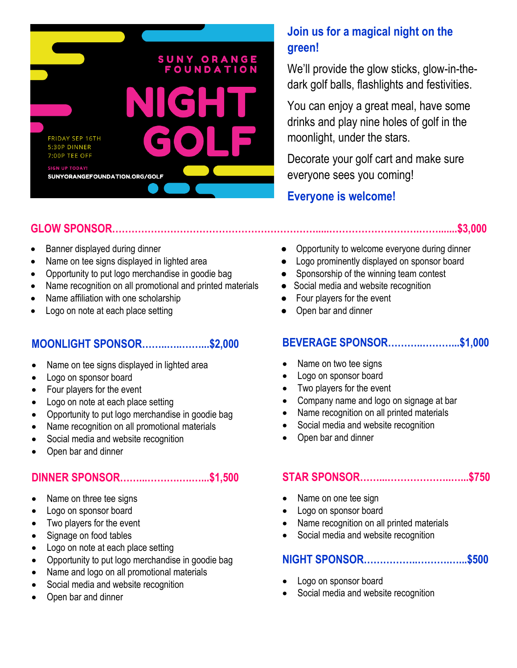

# **GLOW SPONSOR……………………………………………………….....……………………….…….......\$3,000**

- 
- Name on tee signs displayed in lighted area **•** Logo prominently displayed on sponsor board
- Opportunity to put logo merchandise in goodie bag **•** Sponsorship of the winning team contest
- Name recognition on all promotional and printed materials Social media and website recognition
- Name affiliation with one scholarship <br>• Four players for the event
- Logo on note at each place setting entity of the Copen bar and dinner

## **MOONLIGHT SPONSOR……..…..……...\$2,000**

- Name on tee signs displayed in lighted area
- Logo on sponsor board
- Four players for the event
- Logo on note at each place setting
- Opportunity to put logo merchandise in goodie bag
- Name recognition on all promotional materials
- Social media and website recognition
- Open bar and dinner

## **DINNER SPONSOR……...……….….…...\$1,500**

- Name on three tee signs
- Logo on sponsor board
- Two players for the event
- Signage on food tables
- Logo on note at each place setting
- Opportunity to put logo merchandise in goodie bag
- Name and logo on all promotional materials
- Social media and website recognition
- Open bar and dinner

# **Join us for a magical night on the green!**

We'll provide the glow sticks, glow-in-thedark golf balls, flashlights and festivities.

You can enjoy a great meal, have some drinks and play nine holes of golf in the moonlight, under the stars.

Decorate your golf cart and make sure everyone sees you coming!

## **Everyone is welcome!**

- Banner displayed during dinner everyone during dinner **•** Opportunity to welcome everyone during dinner
	-
	-
	-
	-
	-

## **BEVERAGE SPONSOR………..………...\$1,000**

- Name on two tee signs
- Logo on sponsor board
- Two players for the event
- Company name and logo on signage at bar
- Name recognition on all printed materials
- Social media and website recognition
- Open bar and dinner

### **STAR SPONSOR……...………………..…...\$750**

- Name on one tee sign
- Logo on sponsor board
- Name recognition on all printed materials
- Social media and website recognition

## **NIGHT SPONSOR……………..……….…...\$500**

- Logo on sponsor board
- Social media and website recognition